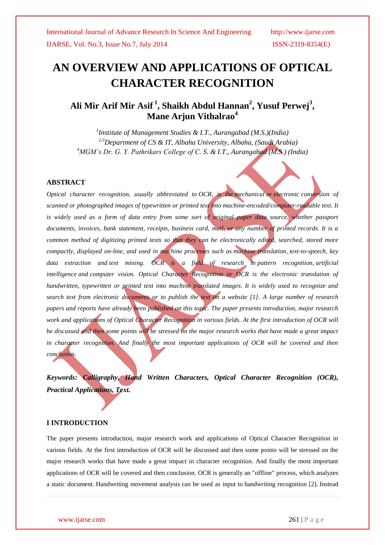IJARSE, Vol. No.3, Issue No.7, July 2014 ISSN-2319-8354(E)

# **AN OVERVIEW AND APPLICATIONS OF OPTICAL CHARACTER RECOGNITION**

## **Ali Mir Arif Mir Asif <sup>1</sup> , Shaikh Abdul Hannan<sup>2</sup> , Yusuf Perwej<sup>3</sup> , Mane Arjun Vithalrao<sup>4</sup>**

*1 Institute of Management Studies & I.T., Aurangabad (M.S.)(India) 2,3Department of CS & IT, Albaha University, Albaha, (Saudi Arabia) <sup>4</sup>MGM's Dr. G. Y. Pathrikars College of C. S. & I.T., Aurangabad (M.S.) (India)*

## **ABSTRACT**

*Optical character recognition, usually abbreviated to OCR, is the mechanical or electronic conversion of scanned or photographed images of typewritten or printed text into machine-encoded/computer-readable text. It*  is widely used as a form of data entry from some sort of original paper data source, whether passport *documents, invoices, bank statement, receipts, business card, mail, or any number of printed records. It is a common method of digitizing printed texts so that they can be electronically edited, searched, stored more compactly, displayed on-line, and used in machine processes such as machine translation, text-to-speech, key data extraction and text mining. OCR is a field of research in pattern recognition, artificial intelligence and computer vision. Optical Character Recognition or OCR is the electronic translation of handwritten, typewritten or printed text into machine translated images. It is widely used to recognize and search text from electronic documents or to publish the text on a website [1]. A large number of research papers and reports have already been published on this topic. The paper presents introduction, major research*  work and applications of Optical Character Recognition in various fields. At the first introduction of OCR will *be discussed and then some points will be stressed on the major research works that have made a great impact* in character recognition. And finally the most important applications of OCR will be covered and then *conclusion.*

*Keywords: Calligraphy, Hand Written Characters, Optical Character Recognition (OCR), Practical Applications, Text.* 

### **I INTRODUCTION**

The paper presents introduction, major research work and applications of Optical Character Recognition in various fields. At the first introduction of OCR will be discussed and then some points will be stressed on the major research works that have made a great impact in character recognition. And finally the most important applications of OCR will be covered and then conclusion. OCR is generally an "offline" process, which analyzes a static document. Handwriting movement analysis can be used as input to handwriting recognition [2]. Instead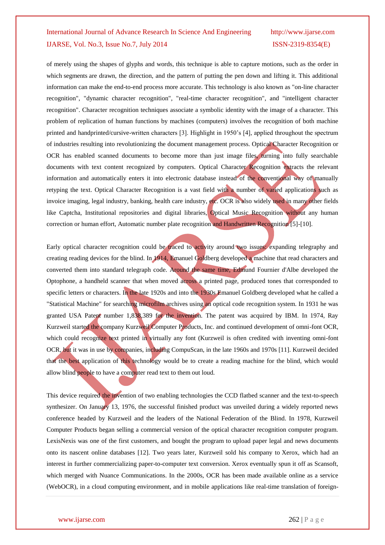of merely using the shapes of glyphs and words, this technique is able to capture motions, such as the order in which segments are drawn, the direction, and the pattern of putting the pen down and lifting it. This additional information can make the end-to-end process more accurate. This technology is also known as "on-line character recognition", "dynamic character recognition", "real-time character recognition", and "intelligent character recognition". Character recognition techniques associate a symbolic identity with the image of a character. This problem of replication of human functions by machines (computers) involves the recognition of both machine printed and handprinted/cursive-written characters [3]. Highlight in 1950's [4], applied throughout the spectrum of industries resulting into revolutionizing the document management process. Optical Character Recognition or OCR has enabled scanned documents to become more than just image files, turning into fully searchable documents with text content recognized by computers. Optical Character Recognition extracts the relevant information and automatically enters it into electronic database instead of the conventional way of manually retyping the text. Optical Character Recognition is a vast field with a number of varied applications such as invoice imaging, legal industry, banking, health care industry, etc. OCR is also widely used in many other fields like Captcha, Institutional repositories and digital libraries, Optical Music Recognition without any human correction or human effort, Automatic number plate recognition and Handwritten Recognition [5]-[10].

Early optical character recognition could be traced to activity around two issues: expanding telegraphy and creating reading devices for the blind. In 1914, Emanuel Goldberg developed a machine that read characters and converted them into standard telegraph code. Around the same time, Edmund Fournier d'Albe developed the Optophone, a handheld scanner that when moved across a printed page, produced tones that corresponded to specific letters or characters. In the late 1920s and into the 1930s Emanuel Goldberg developed what he called a "Statistical Machine" for searching microfilm archives using an optical code recognition system. In 1931 he was granted USA Patent number 1,838,389 for the invention. The patent was acquired by IBM. In 1974, Ray Kurzweil started the company Kurzweil Computer Products, Inc. and continued development of omni-font OCR, which could recognize text printed in virtually any font (Kurzweil is often credited with inventing omni-font OCR, but it was in use by companies, including CompuScan, in the late 1960s and 1970s [11]. Kurzweil decided that the best application of this technology would be to create a reading machine for the blind, which would allow blind people to have a computer read text to them out loud.

This device required the invention of two enabling technologies the CCD flatbed scanner and the text-to-speech synthesizer. On January 13, 1976, the successful finished product was unveiled during a widely reported news conference headed by Kurzweil and the leaders of the National Federation of the Blind. In 1978, Kurzweil Computer Products began selling a commercial version of the optical character recognition computer program. LexisNexis was one of the first customers, and bought the program to upload paper legal and news documents onto its nascent online databases [12]. Two years later, Kurzweil sold his company to Xerox, which had an interest in further commercializing paper-to-computer text conversion. Xerox eventually spun it off as Scansoft, which merged with Nuance Communications. In the 2000s, OCR has been made available online as a service (WebOCR), in a cloud computing environment, and in mobile applications like real-time translation of foreign-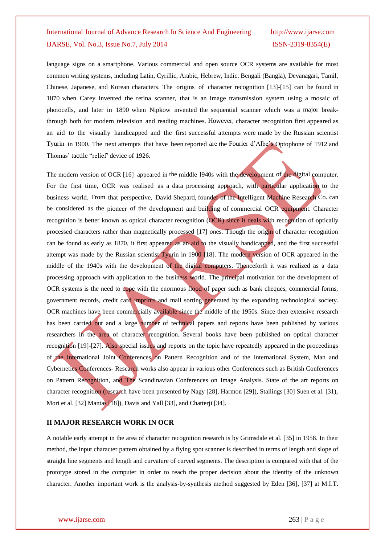language signs on a smartphone. Various commercial and open source OCR systems are available for most common writing systems, including Latin, Cyrillic, Arabic, Hebrew, Indic, Bengali (Bangla), Devanagari, Tamil, Chinese, Japanese, and Korean characters. The origins of character recognition [13]-[15] can be found in 1870 when Carey invented the retina scanner, that is an image transmission system using a mosaic of photocells, and later in 1890 when Nipkow invented the sequential scanner which was a major breakthrough both for modern television and reading machines. However, character recognition first appeared as an aid to the visually handicapped and the first successful attempts were made by the Russian scientist Tyurin in 1900. The next attempts that have been reported are the Fourier d'Albe's Optophone of 1912 and Thomas' tactile "relief" device of 1926.

The modern version of OCR [16] appeared in the middle l940s with the development of the digital computer. For the first time, OCR was realised as a data processing approach, with particular application to the business world. From that perspective, David Shepard, founder of the Intelligent Machine Research Co. can be considered as the pioneer of the development and building of commercial OCR equipment. Character recognition is better known as optical character recognition (OCR) since it deals with recognition of optically processed characters rather than magnetically processed [17] ones. Though the origin of character recognition can be found as early as 1870, it first appeared as an aid to the visually handicapped, and the first successful attempt was made by the Russian scientist Tyurin in 1900 [18]. The modern version of OCR appeared in the middle of the 1940s with the development of the digital computers. Thenceforth it was realized as a data processing approach with application to the business world. The principal motivation for the development of OCR systems is the need to cope with the enormous flood of paper such as bank cheques, commercial forms, government records, credit card imprints and mail sorting generated by the expanding technological society. OCR machines have been commercially available since the middle of the 1950s. Since then extensive research has been carried out and a large number of technical papers and reports have been published by various researchers in the area of character recognition. Several books have been published on optical character recognition [19]-[27]. Also special issues and reports on the topic have repeatedly appeared in the proceedings of the International Joint Conferences on Pattern Recognition and of the International System, Man and Cybernetics Conferences- Research works also appear in various other Conferences such as British Conferences on Pattern Recognition, and The Scandinavian Conferences on Image Analysis. State of the art reports on character recognition (research have been presented by Nagy [28], Harmon [29]), Stallings [30] Suen et al. [31), Mori et al. [32] Mantas [18]), Davis and Yall [33], and Chatterji [34].

### **II MAJOR RESEARCH WORK IN OCR**

A notable early attempt in the area of character recognition research is by Grimsdale et al. [35] in 1958. In their method, the input character pattern obtained by a flying spot scanner is described in terms of length and slope of straight line segments and length and curvature of curved segments. The description is compared with that of the prototype stored in the computer in order to reach the proper decision about the identity of the unknown character. Another important work is the analysis-by-synthesis method suggested by Eden [36], [37] at M.I.T.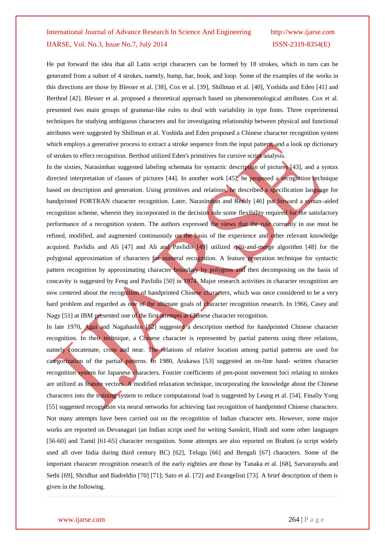He put forward the idea that all Latin script characters can be formed by 18 strokes, which in turn can be generated from a subset of 4 strokes, namely, hump, bar, hook, and loop. Some of the examples of the works in this directions are those by Blesser et al. [38], Cox et al. [39], Shillman et al. [40], Yoshida and Eden [41] and Berthod [42]. Blesser et al. proposed a theoretical approach based on phenomenological attributes. Cox et al. presented two main groups of grammar-like rules to deal with variability in type fonts. Three experimental techniques for studying ambiguous characters and for investigating relationship between physical and functional attributes were suggested by Shillman et al. Yoshida and Eden proposed a Chinese character recognition system which employs a generative process to extract a stroke sequence from the input pattern, and a look up dictionary of strokes to effect recognition. Berthod utilized Eden's primitives for cursive script analysis.

In the sixties, Narasimhan suggested labeling schemata for syntactic description of pictures [43], and a syntax directed interpretation of classes of pictures [44]. In another work [45], he proposed a recognition technique based on description and generation. Using primitives and relations, he described a specification language for handprinted FORTRAN character recognition. Later, Narasimhan and Reddy [46] put forward a syntax-aided recognition scheme, wherein they incorporated in the decision rule some flexibility required for the satisfactory performance of a recognition system. The authors expressed the views that the rule currently in use must be refined, modified, and augmented continuously on the basis of the experience and other relevant knowledge acquired. Pavlidis and Ali [47] and Ali and Pavlidis [49] utilized split-and-merge algorithm [48] for the polygonal approximation of characters for numeral recognition. A feature generation technique for syntactic pattern recognition by approximating character boundary by polygons and then decomposing on the basis of concavity is suggested by Feng and Pavlidis [50] in 1974. Major research activities in character recognition are now centered about the recognition of handprinted Chinese characters, which was once considered to be a very hard problem and regarded as one of the ultimate goals of character recognition research. In 1966, Casey and Nagy [51] at IBM presented one of the first attempts at Chinese character recognition.

In late 1970, Agui and Nagahashiu  $\frac{52}{1}$  suggested a description method for handprinted Chinese character recognition. In their technique, a Chinese character is represented by partial patterns using three relations, namely concatenate, cross and near. The relations of relative location among partial patterns are used for categorization of the partial patterns. In 1980, Arakawa [53] suggested an on-line hand- written character recognition system for Japanese characters. Fourier coefficients of pen-point movement loci relating to strokes are utilized as feature vectors. A modified relaxation technique, incorporating the knowledge about the Chinese characters into the training system to reduce computational load is suggested by Leung et al. [54]. Finally Yong [55] suggested recognition via neural networks for achieving fast recognition of handprinted Chinese characters. Not many attempts have been carried out on the recognition of Indian character sets. However, some major works are reported on Devanagari (an Indian script used for writing Sanskrit, Hindi and some other languages [56-60] and Tamil [61-65] character recognition. Some attempts are also reported on Brahmi (a script widely used all over India during third century BC) [62], Telugu [66] and Bengali [67] characters. Some of the important character recognition research of the early eighties are those by Tanaka et al. [68], Sarvarayudu and Sethi [69], Shridhar and Badreldin [70] [71]; Sato et al. [72] and Evangelisti [73]. A brief description of them is given in the following.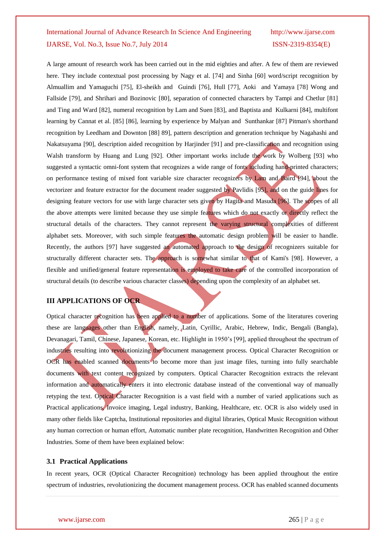A large amount of research work has been carried out in the mid eighties and after. A few of them are reviewed here. They include contextual post processing by Nagy et al. [74] and Sinha [60] word/script recognition by Almuallim and Yamaguchi [75], El-sheikh and Guindi [76], Hull [77], Aoki and Yamaya [78] Wong and Fallside [79], and Shrihari and Bozinovic [80], separation of connected characters by Tampi and Chetlur [81] and Ting and Ward [82], numeral recognition by Lam and Suen [83], and Baptista and Kulkarni [84], multifont learning by Cannat et al. [85] [86], learning by experience by Malyan and Sunthankar [87] Pitman's shorthand recognition by Leedham and Downton [88] 89], pattern description and generation technique by Nagahashi and Nakatsuyama [90], description aided recognition by Harjinder [91] and pre-classification and recognition using Walsh transform by Huang and Lung [92]. Other important works include the work by Wolberg [93] who suggested a syntactic omni-font system that recognizes a wide range of fonts including hand-printed characters; on performance testing of mixed font variable size character recognizers by Lam and Baird [94], about the vectorizer and feature extractor for the document reader suggested by Pavlidis [95], and on the guide lines for designing feature vectors for use with large character sets given by Hagita and Masuda [96]. The scopes of all the above attempts were limited because they use simple features which do not exactly or directly reflect the structural details of the characters. They cannot represent the varying structural complexities of different alphabet sets. Moreover, with such simple features the automatic design problem will be easier to handle. Recently, the authors [97] have suggested an automated approach to the design of recognizers suitable for structurally different character sets. The approach is somewhat similar to that of Kami's [98]. However, a flexible and unified/general feature representation is employed to take care of the controlled incorporation of structural details (to describe various character classes) depending upon the complexity of an alphabet set.

## **III APPLICATIONS OF OCR**

Optical character recognition has been applied to a number of applications. Some of the literatures covering these are languages other than English, namely, Latin, Cyrillic, Arabic, Hebrew, Indic, Bengali (Bangla), Devanagari, Tamil, Chinese, Japanese, Korean, etc. Highlight in 1950's [99], applied throughout the spectrum of industries resulting into revolutionizing the document management process. Optical Character Recognition or OCR has enabled scanned documents to become more than just image files, turning into fully searchable documents with text content recognized by computers. Optical Character Recognition extracts the relevant information and automatically enters it into electronic database instead of the conventional way of manually retyping the text. Optical Character Recognition is a vast field with a number of varied applications such as Practical applications, Invoice imaging, Legal industry, Banking, Healthcare, etc. OCR is also widely used in many other fields like Captcha, Institutional repositories and digital libraries, Optical Music Recognition without any human correction or human effort, Automatic number plate recognition, Handwritten Recognition and Other Industries. Some of them have been explained below:

### **3.1 Practical Applications**

In recent years, OCR (Optical Character Recognition) technology has been applied throughout the entire spectrum of industries, revolutionizing the document management process. OCR has enabled scanned documents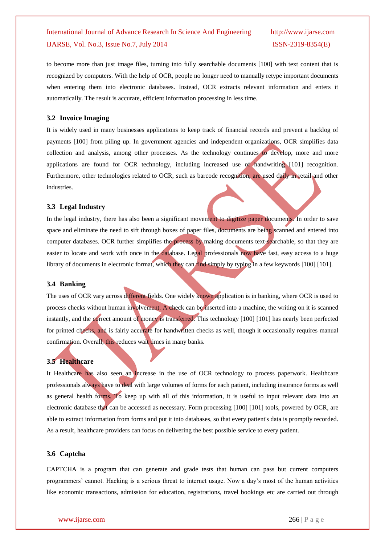to become more than just image files, turning into fully searchable documents [100] with text content that is recognized by computers. With the help of OCR, people no longer need to manually retype important documents when entering them into electronic databases. Instead, OCR extracts relevant information and enters it automatically. The result is accurate, efficient information processing in less time.

### **3.2 Invoice Imaging**

It is widely used in many businesses applications to keep track of financial records and prevent a backlog of payments [100] from piling up. In government agencies and independent organizations, OCR simplifies data collection and analysis, among other processes. As the technology continues to develop, more and more applications are found for OCR technology, including increased use of handwriting [101] recognition. Furthermore, other technologies related to OCR, such as barcode recognition, are used daily in retail and other industries.

## **3.3 Legal Industry**

In the legal industry, there has also been a significant movement to digitize paper documents. In order to save space and eliminate the need to sift through boxes of paper files, documents are being scanned and entered into computer databases. OCR further simplifies the process by making documents text-searchable, so that they are easier to locate and work with once in the database. Legal professionals now have fast, easy access to a huge library of documents in electronic format, which they can find simply by typing in a few keywords [100] [101].

### **3.4 Banking**

The uses of OCR vary across different fields. One widely known application is in banking, where OCR is used to process checks without human involvement. A check can be inserted into a machine, the writing on it is scanned instantly, and the correct amount of money is transferred. This technology [100] [101] has nearly been perfected for printed checks, and is fairly accurate for handwritten checks as well, though it occasionally requires manual confirmation. Overall, this reduces wait times in many banks.

## **3.5 Healthcare**

It Healthcare has also seen an increase in the use of OCR technology to process paperwork. Healthcare professionals always have to deal with large volumes of forms for each patient, including insurance forms as well as general health forms. To keep up with all of this information, it is useful to input relevant data into an electronic database that can be accessed as necessary. Form processing [100] [101] tools, powered by OCR, are able to extract information from forms and put it into databases, so that every patient's data is promptly recorded. As a result, healthcare providers can focus on delivering the best possible service to every patient.

### **3.6 Captcha**

CAPTCHA is a program that can generate and grade tests that human can pass but current computers programmers' cannot. Hacking is a serious threat to internet usage. Now a day's most of the human activities like economic transactions, admission for education, registrations, travel bookings etc are carried out through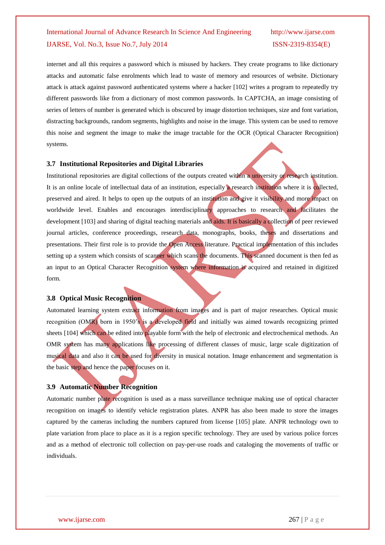internet and all this requires a password which is misused by hackers. They create programs to like dictionary attacks and automatic false enrolments which lead to waste of memory and resources of website. Dictionary attack is attack against password authenticated systems where a hacker [102] writes a program to repeatedly try different passwords like from a dictionary of most common passwords. In CAPTCHA, an image consisting of series of letters of number is generated which is obscured by image distortion techniques, size and font variation, distracting backgrounds, random segments, highlights and noise in the image. This system can be used to remove this noise and segment the image to make the image tractable for the OCR (Optical Character Recognition) systems.

### **3.7 Institutional Repositories and Digital Libraries**

Institutional repositories are digital collections of the outputs created within a university or research institution. It is an online locale of intellectual data of an institution, especially a research institution where it is collected, preserved and aired. It helps to open up the outputs of an institution and give it visibility and more impact on worldwide level. Enables and encourages interdisciplinary approaches to research and facilitates the development [103] and sharing of digital teaching materials and aids. It is basically a collection of peer reviewed journal articles, conference proceedings, research data, monographs, books, theses and dissertations and presentations. Their first role is to provide the Open Access literature. Practical implementation of this includes setting up a system which consists of scanner which scans the documents. This scanned document is then fed as an input to an Optical Character Recognition system where information is acquired and retained in digitized form.

### **3.8 Optical Music Recognition**

Automated learning system extract information from images and is part of major researches. Optical music recognition (OMR) born in 1950's is a developed field and initially was aimed towards recognizing printed sheets [104] which can be edited into playable form with the help of electronic and electrochemical methods. An OMR system has many applications like processing of different classes of music, large scale digitization of musical data and also it can be used for diversity in musical notation. Image enhancement and segmentation is the basic step and hence the paper focuses on it.

### **3.9 Automatic Number Recognition**

Automatic number plate recognition is used as a mass surveillance technique making use of optical character recognition on images to identify vehicle registration plates. ANPR has also been made to store the images captured by the cameras including the numbers captured from license [105] plate. ANPR technology own to plate variation from place to place as it is a region specific technology. They are used by various police forces and as a method of electronic toll collection on pay-per-use roads and cataloging the movements of traffic or individuals.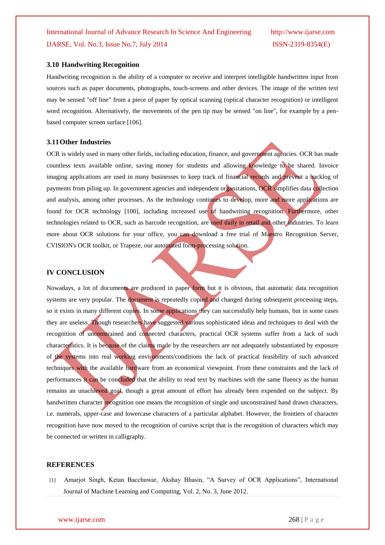#### **3.10 Handwriting Recognition**

Handwriting recognition is the ability of a computer to receive and interpret intelligible handwritten input from sources such as paper documents, photographs, touch-screens and other devices. The image of the written text may be sensed "off line" from a piece of paper by optical scanning (optical character recognition) or intelligent word recognition. Alternatively, the movements of the pen tip may be sensed "on line", for example by a penbased computer screen surface [106].

### **3.11Other Industries**

OCR is widely used in many other fields, including education, finance, and government agencies. OCR has made countless texts available online, saving money for students and allowing knowledge to be shared. Invoice imaging applications are used in many businesses to keep track of financial records and prevent a backlog of payments from piling up. In government agencies and independent organizations, OCR simplifies data collection and analysis, among other processes. As the technology continues to develop, more and more applications are found for OCR technology [100], including increased use of handwriting recognition. Furthermore, other technologies related to OCR, such as barcode recognition, are used daily in retail and other industries. To learn more about OCR solutions for your office, you can download a free trial of Maestro Recognition Server, CVISION's OCR toolkit, or Trapeze, our automated form-processing solution.

### **IV CONCLUSION**

Nowadays, a lot of documents are produced in paper form but it is obvious, that automatic data recognition systems are very popular. The document is repeatedly copied and changed during subsequent processing steps, so it exists in many different copies. In some applications they can successfully help humans, but in some cases they are useless. Though researchers have suggested various sophisticated ideas and techniques to deal with the recognition of unconstrained and connected characters, practical OCR systems suffer from a lack of such characteristics. It is because of the claims made by the researchers are not adequately substantiated by exposure of the systems into real working environments/conditions the lack of practical feasibility of such advanced techniques with the available hardware from an economical viewpoint. From these constraints and the lack of performances it can be concluded that the ability to read text by machines with the same fluency as the human remains an unachieved goal, though a great amount of effort has already been expended on the subject. By handwritten character recognition one means the recognition of single and unconstrained hand drawn characters, i.e. numerals, upper-case and lowercase characters of a particular alphabet. However, the frontiers of character recognition have now moved to the recognition of cursive script that is the recognition of characters which may be connected or written in calligraphy.

#### **REFERENCES**

[1] Amarjot Singh, Ketan Bacchuwar, Akshay Bhasin, "A Survey of OCR Applications", International Journal of Machine Learning and Computing, Vol. 2, No. 3, June 2012.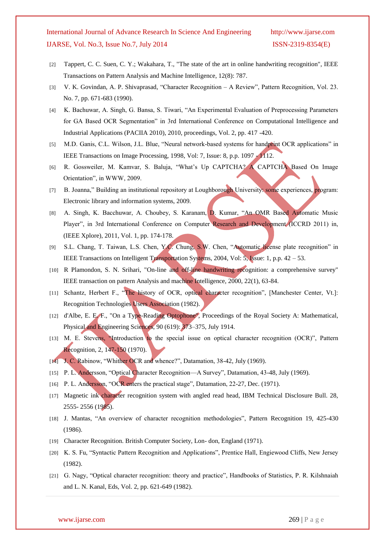- [2] Tappert, C. C. Suen, C. Y.; Wakahara, T., "The state of the art in online handwriting recognition", IEEE Transactions on Pattern Analysis and Machine Intelligence, 12(8): 787.
- [3] V. K. Govindan, A. P. Shivaprasad, "Character Recognition A Review", Pattern Recognition, Vol. 23. No. 7, pp. 671-683 (1990).
- [4] K. Bachuwar, A. Singh, G. Bansa, S. Tiwari, "An Experimental Evaluation of Preprocessing Parameters for GA Based OCR Segmentation" in 3rd International Conference on Computational Intelligence and Industrial Applications (PACIIA 2010), 2010, proceedings, Vol. 2, pp. 417 -420.
- [5] M.D. Ganis, C.L. Wilson, J.L. Blue, "Neural network-based systems for handprint OCR applications" in IEEE Transactions on Image Processing, 1998, Vol: 7, Issue: 8, p.p. 1097 - 1112.
- [6] R. Gossweiler, M. Kamvar, S. Baluja, "What's Up CAPTCHA? A CAPTCHA Based On Image Orientation", in WWW, 2009.
- [7] B. Joanna," Building an institutional repository at Loughborough University: some experiences, program: Electronic library and information systems, 2009.
- [8] A. Singh, K. Bacchuwar, A. Choubey, S. Karanam, D. Kumar, "An OMR Based Automatic Music Player", in 3rd International Conference on Computer Research and Development (ICCRD 2011) in, (IEEE Xplore), 2011, Vol. 1, pp. 174-178.
- [9] S.L. Chang, T. Taiwan, L.S. Chen, Y.C. Chung, S.W. Chen, "Automatic license plate recognition" in IEEE Transactions on Intelligent Transportation Systems, 2004, Vol: 5, Issue: 1, p.p. 42 – 53.
- [10] R Plamondon, S. N. Srihari, "On-line and off-line handwriting recognition: a comprehensive survey" IEEE transaction on pattern Analysis and machine Intelligence, 2000, 22(1), 63-84.
- [11] Schantz, Herbert F., "The history of OCR, optical character recognition", [Manchester Center, Vt.]: Recognition Technologies Users Association (1982).
- [12] d'Albe, E. E. F., "On a Type-Reading Optophone", Proceedings of the Royal Society A: Mathematical, Physical and Engineering Sciences, 90 (619): 373–375, July 1914.
- [13] M. E. Stevens, "Introduction to the special issue on optical character recognition (OCR)", Pattern Recognition, 2, 147-150 (1970).
- [14] J. C. Rabinow, "Whither OCR and whence?", Datamation, 38-42, July (1969).
- [15] P. L. Andersson, "Optical Character Recognition—A Survey", Datamation, 43-48, July (1969).
- [16] P. L. Andersson, "OCR enters the practical stage", Datamation, 22-27, Dec. (1971).
- [17] Magnetic ink character recognition system with angled read head, IBM Technical Disclosure Bull. 28, 2555- 2556 (1985).
- [18] J. Mantas, "An overview of character recognition methodologies", Pattern Recognition 19, 425-430 (1986).
- [19] Character Recognition. British Computer Society, Lon- don, England (1971).
- [20] K. S. Fu, "Syntactic Pattern Recognition and Applications", Prentice Hall, Engiewood Cliffs, New Jersey (1982).
- [21] G. Nagy, "Optical character recognition: theory and practice", Handbooks of Statistics, P. R. Kilshnaiah and L. N. Kanal, Eds, Vol. 2, pp. 621-649 (1982).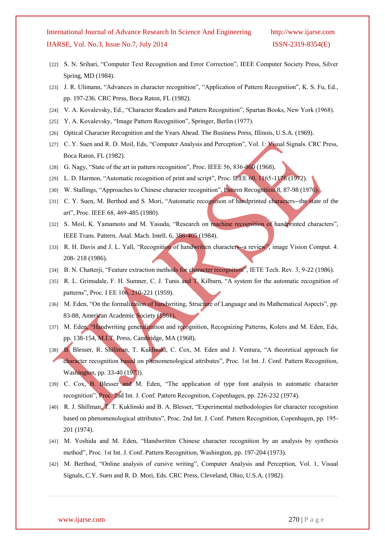- [22] S. N. Srihari, "Computer Text Recognition and Error Correction", IEEE Computer Society Press, Silver Spring, MD (1984).
- [23] J. R. Ulimann, "Advances in character recognition", "Application of Pattern Recognition", K. S. Fu, Ed., pp. 197-236. CRC Press, Boca Raton, FL (1982).
- [24] V. A. Kovalevsky, Ed., "Character Readers and Pattern Recognition", Spartan Books, New York (1968).
- [25] Y. A. Kovalevsky, "Image Pattern Recognition", Springer, Berlin (1977).
- [26] Optical Character Recognition and the Years Ahead. The Business Press, Illinois, U.S.A. (1969).
- [27] C. Y. Suen and R. D. Moil, Eds, "Computer Analysis and Perception", Vol. 1: Visual Signals. CRC Press, Boca Raton, FL (1982).
- [28] G. Nagy, "State of the art in pattern recognition", Proc. IEEE 56,  $836-860$  (1968).
- [29] L. D. Harmon, "Automatic recognition of print and script", Proc. IEEE 60,  $1165-1176$  (1972).
- [30] W. Stallings, "Approaches to Chinese character recognition", Pattern Recognition 8, 87-98 (1976).
- [31] C. Y. Suen, M. Berthod and S. Mori, "Automatic recognition of handprinted characters--the state of the art", Proc. IEEE 68, 469-485 (1980).
- [32] S. Moil, K. Yamamoto and M. Yasuda, "Research on machine recognition of handprinted characters", IEEE Trans. Pattern. Anal. Mach. Intell. 6, 386-405 (1984).
- [33] R. H. Davis and J. L. Yall, "Recognition of handwritten characters--a review", image Vision Comput. 4. 208- 218 (1986).
- [34] B. N. Chatterji, "Feature extraction methods for character recognition", IETE Tech. Rev. 3, 9-22 (1986).
- [35] R. L. Grimsdale, F. H. Sumner, C. J. Tunis and T. Kilburn, "A system for the automatic recognition of patterns", Proc. I EE 106, 210-221 (1959).
- [36] M. Eden, "On the formalization of handwriting, Structure of Language and its Mathematical Aspects", pp. 83-88, American Academic Society (1961).
- [37] M. Eden, "Handwriting generalization and recognition, Recognizing Patterns, Kolers and M. Eden, Eds, pp. 138-154, M.I.T. Press, Cambridge, MA (1968).
- [38] B. Blesser, R. Shillman, T. Kuklinski, C. Cox, M. Eden and J. Ventura, "A theoretical approach for character recognition based on phenomenological attributes", Proc. 1st Int. J. Conf. Pattern Recognition, Washington, pp. 33-40 (1973).
- [39] C. Cox, B. Blesser and M. Eden, "The application of type font analysis to automatic character recognition", Proc. 2nd Int. J. Conf. Pattern Recognition, Copenhagen, pp. 226-232 (1974).
- [40] R. J. Shillman, T. T. Kuklinski and B. A. Blesser, "Experimental methodologies for character recognition based on phenomenological attributes", Proc. 2nd Int. J. Conf. Pattern Recognition, Copenhagen, pp. 195-201 (1974).
- [41] M. Yoshida and M. Eden, "Handwritten Chinese character recognition by an analysis by synthesis method", Proc. 1st Int. J. Conf. Pattern Recognition, Washington, pp. 197-204 (1973).
- [42] M. Berthod, "Online analysis of cursive writing", Computer Analysis and Perception, Vol. 1, Visual Signals, C.Y. Suen and R. D. Mori, Eds. CRC Press, Cleveland, Ohio, U.S.A. (1982).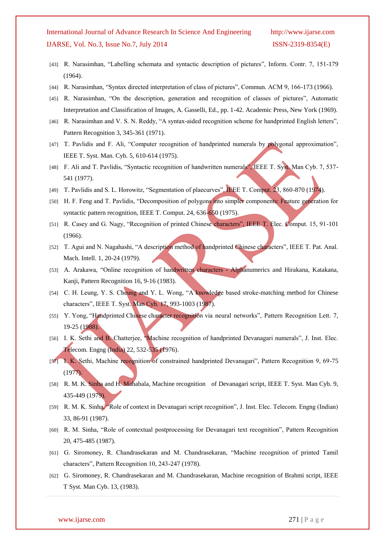- [43] R. Narasimhan, "Labelling schemata and syntactic description of pictures", Inform. Contr. 7, 151-179 (1964).
- [44] R. Narasimhan, "Syntax directed interpretation of class of pictures", Commun. ACM 9, 166-173 (1966).
- [45] R. Narasimhan, "On the description, generation and recognition of classes of pictures", Automatic Interpretation and Classification of Images, A. Gasselli, Ed., pp. 1-42. Academic Press, New York (1969).
- [46] R. Narasimhan and V. S. N. Reddy, "A syntax-aided recognition scheme for handprinted English letters", Pattern Recognition 3, 345-361 (1971).
- [47] T. Pavlidis and F. Ali, "Computer recognition of handprinted numerals by polygonal approximation", IEEE T. Syst. Man. Cyb. 5, 610-614 (1975).
- [48] F. Ali and T. Pavlidis, "Syntactic recognition of handwritten numerals", JEEE T. Syst. Man Cyb. 7, 537-541 (1977).
- [49] T. Pavlidis and S. L. Horowitz, "Segmentation of plaecurves", IEEE T. Comput. 23, 860-870 (1974).
- [50] H. F. Feng and T. Pavlidis, "Decomposition of polygons into simpler components: Feature generation for syntactic pattern recognition, IEEE T. Comput. 24, 636-650 (1975).
- [51] R. Casey and G. Nagy, "Recognition of printed Chinese characters", IEEE T. Elec. Comput. 15, 91-101 (1966).
- [52] T. Agui and N. Nagahashi, "A description method of handprinted Chinese characters", IEEE T. Pat. Anal. Mach. Intell. 1, 20-24 (1979).
- [53] A. Arakawa, "Online recognition of handwritten characters Alphanumerics and Hirakana, Katakana, Kanji, Pattern Recognition 16, 9-16 (1983).
- [54] C. H. Leung, Y. S. Cheung and Y. L. Wong, "A knowledge based stroke-matching method for Chinese characters‖, IEEE T. Syst. Man Cyb. 17, 993-1003 (1987).
- [55] Y. Yong, "Handprinted Chinese character recognition via neural networks", Pattern Recognition Lett. 7, 19-25 (1988).
- [56] I. K. Sethi and B. Chatterjee, "Machine recognition of handprinted Devanagari numerals", J. Inst. Elec. Telecom. Engng (India) 22, 532-535 (1976).
- [57] I. K. Sethi, Machine recognition of constrained handprinted Devanagari", Pattern Recognition 9, 69-75 (1977).
- [58] R. M. K. Sinha and H. Mahabala, Machine recognition of Devanagari script, IEEE T. Syst. Man Cyb. 9, 435-449 (1979).
- [59] R. M. K. Sinha, "Role of context in Devanagari script recognition", J. Inst. Elec. Telecom. Engng (Indian) 33, 86-91 (1987).
- [60] R. M. Sinha, "Role of contextual postprocessing for Devanagari text recognition", Pattern Recognition 20, 475-485 (1987).
- [61] G. Siromoney, R. Chandrasekaran and M. Chandrasekaran, "Machine recognition of printed Tamil characters", Pattern Recognition 10, 243-247 (1978).
- [62] G. Siromoney, R. Chandrasekaran and M. Chandrasekaran, Machine recognition of Brahmi script, IEEE T Syst. Man Cyb. 13, (1983).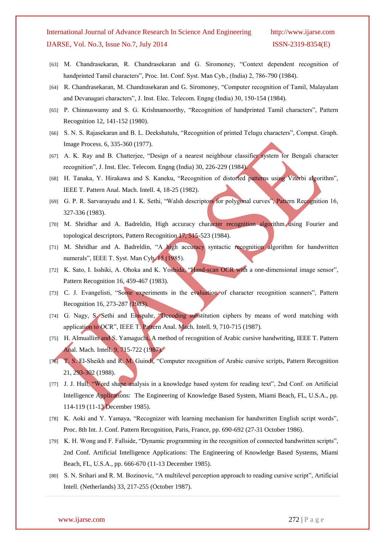- [63] M. Chandrasekaran, R. Chandrasekaran and G. Siromoney, "Context dependent recognition of handprinted Tamil characters", Proc. Int. Conf. Syst. Man Cyb., (India) 2, 786-790 (1984).
- [64] R. Chandrasekaran, M. Chandrasekaran and G. Siromoney, "Computer recognition of Tamil, Malayalam and Devanagari characters", J. Inst. Elec. Telecom. Engng (India) 30, 150-154 (1984).
- [65] P. Chinnuswamy and S. G. Krishnamoorthy, "Recognition of handprinted Tamil characters", Pattern Recognition 12, 141-152 (1980).
- [66] S. N. S. Rajasekaran and B. L. Deekshatulu, "Recognition of printed Telugu characters", Comput. Graph. Image Process. 6, 335-360 (1977).
- [67] A. K. Ray and B. Chatterjee, "Design of a nearest neighbour classifier system for Bengali character recognition", J. Inst. Elec. Telecom. Engng (India) 30, 226-229 (1984).
- [68] H. Tanaka, Y. Hirakawa and S. Kaneku, "Recognition of distorted patterns using Viterbi algorithm", IEEE T. Pattern Anal. Mach. Intell. 4, 18-25 (1982).
- [69] G. P. R. Sarvarayudu and I. K. Sethi, "Walsh descriptors for polygonal curves", Pattern Recognition 16, 327-336 (1983).
- [70] M. Shridhar and A. Badreldin, High accuracy character recognition algorithm using Fourier and topological descriptors, Pattern Recognition 17, 515-523 (1984).
- [71] M. Shridhar and A. Badreldin, "A high accuracy syntactic recognition algorithm for handwritten numerals", IEEE T. Syst. Man Cyb. 15 (1985).
- [72] K. Sato, I. Isshiki, A. Ohoka and K. Yoshida, "Hand-scan OCR with a one-dimensional image sensor", Pattern Recognition 16, 459-467 (1983).
- [73] C. J. Evangelisti, "Some experiments in the evaluation of character recognition scanners", Pattern Recognition 16, 273-287 (1983).
- [74] G. Nagy, S. Sethi and Einspahr, 
"Decoding substitution ciphers by means of word matching with application to OCR", IEEE T. Pattern Anal. Mach. Intell. 9, 710-715 (1987).
- [75] H. Almuallim and S. Yamaguchi, A method of recognition of Arabic cursive handwriting, IEEE T. Pattern Anal. Mach. Intell. 9, 715-722 (1987).
- [76] T. S. El-Sheikh and R. M. Guindi, "Computer recognition of Arabic cursive scripts, Pattern Recognition 21, 293-302 (1988).
- [77] J. J. Hull, "Word shape analysis in a knowledge based system for reading text", 2nd Conf. on Artificial Intelligence Applications: The Engineering of Knowledge Based System, Miami Beach, FL, U.S.A., pp. 114-119 (11-13 December 1985).
- [78] K. Aoki and Y. Yamaya, "Recognizer with learning mechanism for handwritten English script words", Proc. 8th Int. J. Conf. Pattern Recognition, Paris, France, pp. 690-692 (27-31 October 1986).
- [79] K. H. Wong and F. Fallside, "Dynamic programming in the recognition of connected handwritten scripts", 2nd Conf. Artificial Intelligence Applications: The Engineering of Knowledge Based Systems, Miami Beach, FL, U.S.A., pp. 666-670 (11-13 December 1985).
- [80] S. N. Srihari and R. M. Bozinovic, "A multilevel perception approach to reading cursive script", Artificial Intell. (Netherlands) 33, 217-255 (October 1987).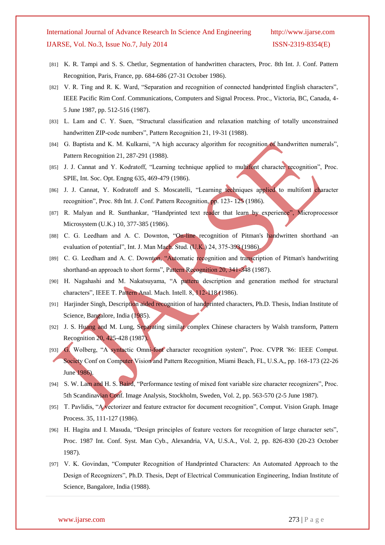- [81] K. R. Tampi and S. S. Chetlur, Segmentation of handwritten characters, Proc. 8th Int. J. Conf. Pattern Recognition, Paris, France, pp. 684-686 (27-31 October 1986).
- [82] V. R. Ting and R. K. Ward, "Separation and recognition of connected handprinted English characters", IEEE Pacific Rim Conf. Communications, Computers and Signal Process. Proc., Victoria, BC, Canada, 4- 5 June 1987, pp. 512-516 (1987).
- [83] L. Lam and C. Y. Suen, "Structural classification and relaxation matching of totally unconstrained handwritten ZIP-code numbers", Pattern Recognition 21, 19-31 (1988).
- [84] G. Baptista and K. M. Kulkarni, "A high accuracy algorithm for recognition of handwritten numerals", Pattern Recognition 21, 287-291 (1988).
- [85] J. J. Cannat and Y. Kodratoff, "Learning technique applied to multifont character recognition", Proc. SPIE, Int. Soc. Opt. Engng 635, 469-479 (1986).
- [86] J. J. Cannat, Y. Kodratoff and S. Moscatelli, "Learning techniques applied to multifont character recognition", Proc. 8th Int. J. Conf. Pattern Recognition, pp. 123- 125 (1986).
- [87] R. Malyan and R. Sunthankar, "Handprinted text reader that learn by experience", Microprocessor Microsystem (U.K.) 10, 377-385 (1986).
- [88] C. G. Leedham and A. C. Downton, "On-line recognition of Pitman's handwritten shorthand -an evaluation of potential", Int. J. Man Mach. Stud. (U.K.) 24, 375-393 (1986).
- [89] C. G. Leedham and A. C. Downton, "Automatic recognition and transcription of Pitman's handwriting shorthand-an approach to short forms", Pattern Recognition 20, 341-348 (1987).
- [90] H. Nagahashi and M. Nakatsuyama, "A pattern description and generation method for structural characters", IEEE T. Pattern Anal. Mach. Intell. 8, 112-118 (1986).
- [91] Harjinder Singh, Description aided recognition of handprinted characters, Ph.D. Thesis, Indian Institute of Science, Bangalore, India (1985).
- [92] J. S. Huang and M. Lung, Separating similar complex Chinese characters by Walsh transform, Pattern Recognition 20, 425-428 (1987).
- [93] G. Wolberg, "A syntactic Omni-font character recognition system", Proc. CVPR '86: IEEE Comput. Society Conf on Computer Vision and Pattern Recognition, Miami Beach, FL, U.S.A., pp. 168-173 (22-26) June 1986).
- [94] S. W. Lam and H. S. Baird, "Performance testing of mixed font variable size character recognizers", Proc. 5th Scandinavian Conf. Image Analysis, Stockholm, Sweden, Vol. 2, pp. 563-570 (2-5 June 1987).
- [95] T. Pavlidis, "A vectorizer and feature extractor for document recognition", Comput. Vision Graph. Image Process. 35, 111-127 (1986).
- [96] H. Hagita and I. Masuda, "Design principles of feature vectors for recognition of large character sets", Proc. 1987 Int. Conf. Syst. Man Cyb., Alexandria, VA, U.S.A., Vol. 2, pp. 826-830 (20-23 October 1987).
- [97] V. K. Govindan, "Computer Recognition of Handprinted Characters: An Automated Approach to the Design of Recognizers", Ph.D. Thesis, Dept of Electrical Communication Engineering, Indian Institute of Science, Bangalore, India (1988).